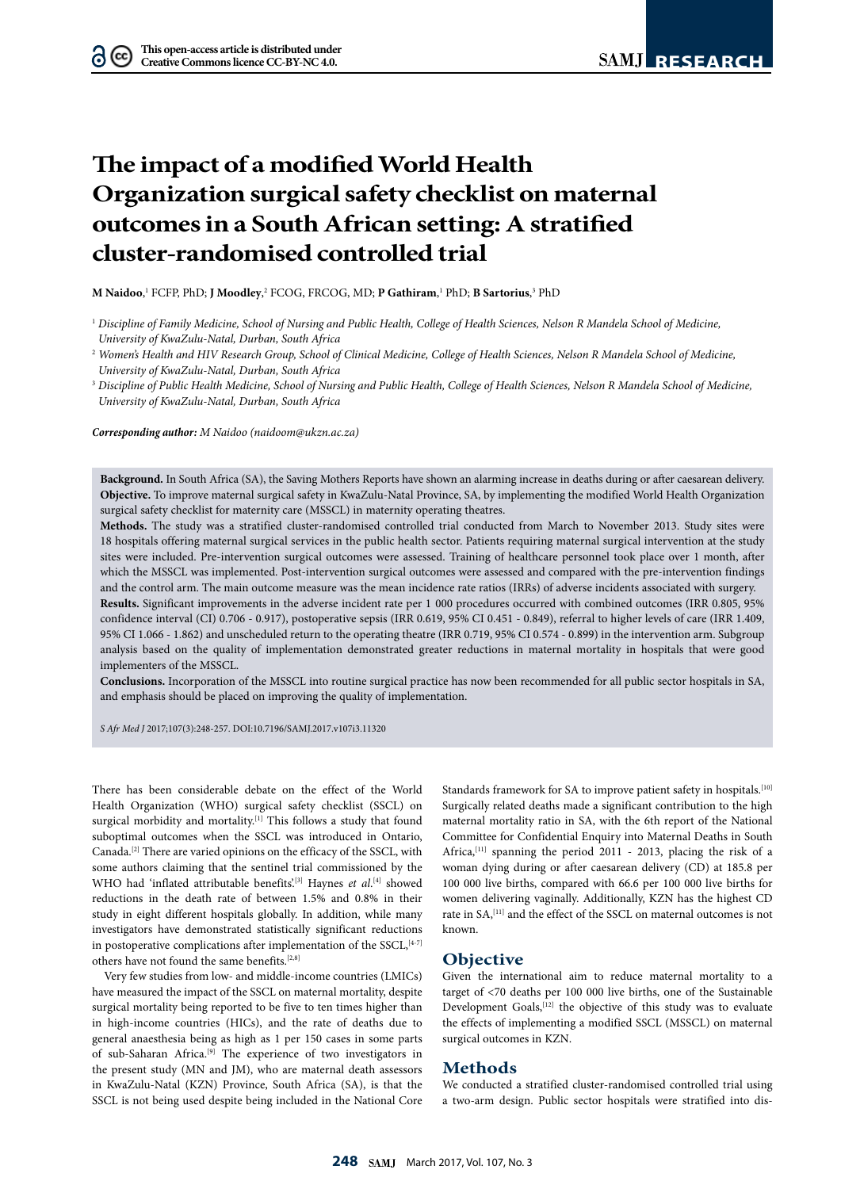# **The impact of a modified World Health Organization surgical safety checklist on maternal outcomes in a South African setting: A stratified cluster-randomised controlled trial**

**M Naidoo**, 1 FCFP, PhD; **J Moodley**, 2 FCOG, FRCOG, MD; **P Gathiram**, 1 PhD; **B Sartorius**, 3 PhD

<sup>2</sup> *Women's Health and HIV Research Group, School of Clinical Medicine, College of Health Sciences, Nelson R Mandela School of Medicine, University of KwaZulu-Natal, Durban, South Africa*

<sup>3</sup> Discipline of Public Health Medicine, School of Nursing and Public Health, College of Health Sciences, Nelson R Mandela School of Medicine, *University of KwaZulu-Natal, Durban, South Africa*

*Corresponding author: M Naidoo (naidoom@ukzn.ac.za)*

**Background.** In South Africa (SA), the Saving Mothers Reports have shown an alarming increase in deaths during or after caesarean delivery. **Objective.** To improve maternal surgical safety in KwaZulu-Natal Province, SA, by implementing the modified World Health Organization surgical safety checklist for maternity care (MSSCL) in maternity operating theatres.

**Methods.** The study was a stratified cluster-randomised controlled trial conducted from March to November 2013. Study sites were 18 hospitals offering maternal surgical services in the public health sector. Patients requiring maternal surgical intervention at the study sites were included. Pre-intervention surgical outcomes were assessed. Training of healthcare personnel took place over 1 month, after which the MSSCL was implemented. Post-intervention surgical outcomes were assessed and compared with the pre-intervention findings and the control arm. The main outcome measure was the mean incidence rate ratios (IRRs) of adverse incidents associated with surgery.

**Results.** Significant improvements in the adverse incident rate per 1 000 procedures occurred with combined outcomes (IRR 0.805, 95% confidence interval (CI) 0.706 - 0.917), postoperative sepsis (IRR 0.619, 95% CI 0.451 - 0.849), referral to higher levels of care (IRR 1.409, 95% CI 1.066 - 1.862) and unscheduled return to the operating theatre (IRR 0.719, 95% CI 0.574 - 0.899) in the intervention arm. Subgroup analysis based on the quality of implementation demonstrated greater reductions in maternal mortality in hospitals that were good implementers of the MSSCL.

**Conclusions.** Incorporation of the MSSCL into routine surgical practice has now been recommended for all public sector hospitals in SA, and emphasis should be placed on improving the quality of implementation.

*S Afr Med J* 2017;107(3):248-257. DOI:10.7196/SAMJ.2017.v107i3.11320

There has been considerable debate on the effect of the World Health Organization (WHO) surgical safety checklist (SSCL) on surgical morbidity and mortality.<sup>[1]</sup> This follows a study that found suboptimal outcomes when the SSCL was introduced in Ontario, Canada.[2] There are varied opinions on the efficacy of the SSCL, with some authors claiming that the sentinel trial commissioned by the WHO had 'inflated attributable benefits<sup>'[3]</sup> Haynes *et al*.<sup>[4]</sup> showed reductions in the death rate of between 1.5% and 0.8% in their study in eight different hospitals globally. In addition, while many investigators have demonstrated statistically significant reductions in postoperative complications after implementation of the  $SSCL$ ,  $[4-7]$ others have not found the same benefits.[2,8]

Very few studies from low- and middle-income countries (LMICs) have measured the impact of the SSCL on maternal mortality, despite surgical mortality being reported to be five to ten times higher than in high-income countries (HICs), and the rate of deaths due to general anaesthesia being as high as 1 per 150 cases in some parts of sub-Saharan Africa.[9] The experience of two investigators in the present study (MN and JM), who are maternal death assessors in KwaZulu-Natal (KZN) Province, South Africa (SA), is that the SSCL is not being used despite being included in the National Core

Standards framework for SA to improve patient safety in hospitals.<sup>[10]</sup> Surgically related deaths made a significant contribution to the high maternal mortality ratio in SA, with the 6th report of the National Committee for Confidential Enquiry into Maternal Deaths in South Africa,<sup>[11]</sup> spanning the period 2011 - 2013, placing the risk of a woman dying during or after caesarean delivery (CD) at 185.8 per 100 000 live births, compared with 66.6 per 100 000 live births for women delivering vaginally. Additionally, KZN has the highest CD rate in SA,<sup>[11]</sup> and the effect of the SSCL on maternal outcomes is not known.

## **Objective**

Given the international aim to reduce maternal mortality to a target of <70 deaths per 100 000 live births, one of the Sustainable Development Goals,<sup>[12]</sup> the objective of this study was to evaluate the effects of implementing a modified SSCL (MSSCL) on maternal surgical outcomes in KZN.

## **Methods**

We conducted a stratified cluster-randomised controlled trial using a two-arm design. Public sector hospitals were stratified into dis-

<sup>&</sup>lt;sup>1</sup> Discipline of Family Medicine, School of Nursing and Public Health, College of Health Sciences, Nelson R Mandela School of Medicine, *University of KwaZulu-Natal, Durban, South Africa*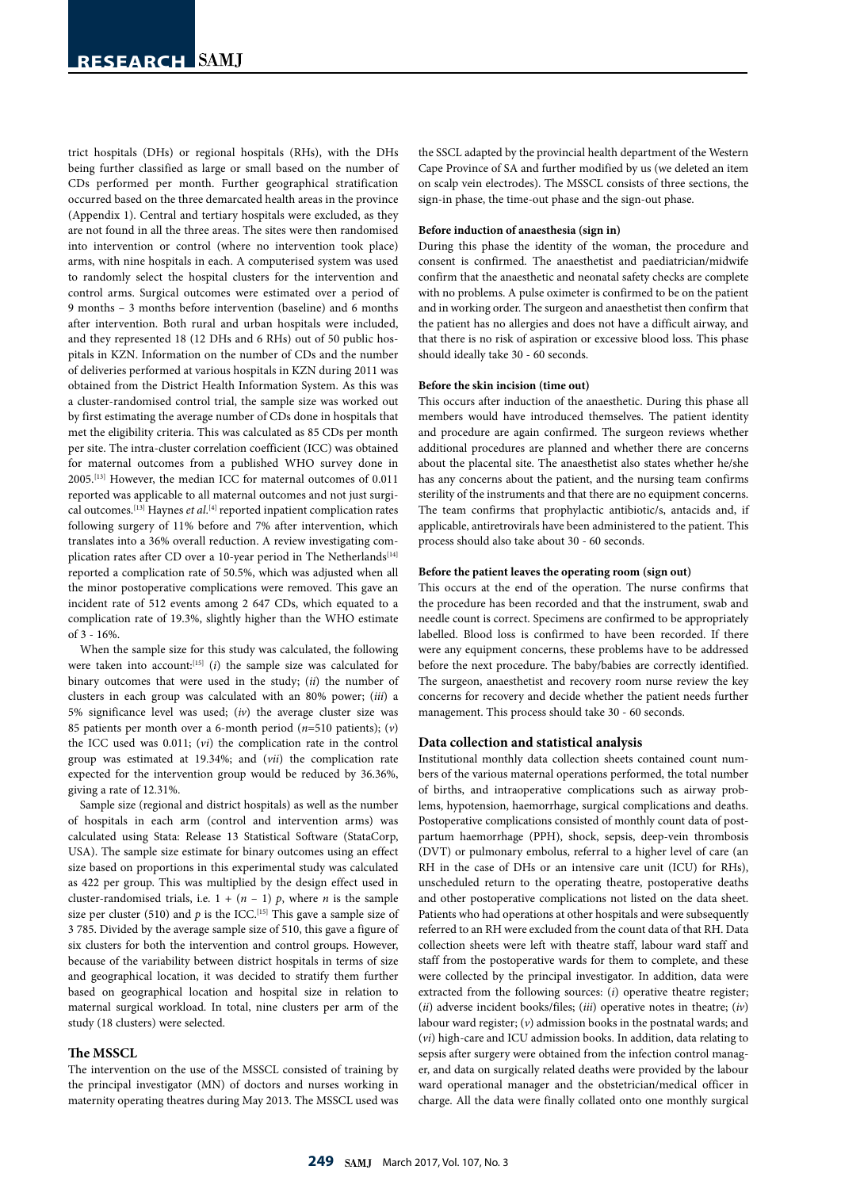trict hospitals (DHs) or regional hospitals (RHs), with the DHs being further classified as large or small based on the number of CDs performed per month. Further geographical stratification occurred based on the three demarcated health areas in the province (Appendix 1). Central and tertiary hospitals were excluded, as they are not found in all the three areas. The sites were then randomised into intervention or control (where no intervention took place) arms, with nine hospitals in each. A computerised system was used to randomly select the hospital clusters for the intervention and control arms. Surgical outcomes were estimated over a period of 9 months – 3 months before intervention (baseline) and 6 months after intervention. Both rural and urban hospitals were included, and they represented 18 (12 DHs and 6 RHs) out of 50 public hospitals in KZN. Information on the number of CDs and the number of deliveries performed at various hospitals in KZN during 2011 was obtained from the District Health Information System. As this was a cluster-randomised control trial, the sample size was worked out by first estimating the average number of CDs done in hospitals that met the eligibility criteria. This was calculated as 85 CDs per month per site. The intra-cluster correlation coefficient (ICC) was obtained for maternal outcomes from a published WHO survey done in 2005.[13] However, the median ICC for maternal outcomes of 0.011 reported was applicable to all maternal outcomes and not just surgical outcomes.[13] Haynes *et al*. [4] reported inpatient complication rates following surgery of 11% before and 7% after intervention, which translates into a 36% overall reduction. A review investigating complication rates after CD over a 10-year period in The Netherlands<sup>[14]</sup> reported a complication rate of 50.5%, which was adjusted when all the minor postoperative complications were removed. This gave an incident rate of 512 events among 2 647 CDs, which equated to a complication rate of 19.3%, slightly higher than the WHO estimate of 3 - 16%.

When the sample size for this study was calculated, the following were taken into account:<sup>[15]</sup> (*i*) the sample size was calculated for binary outcomes that were used in the study; (*ii*) the number of clusters in each group was calculated with an 80% power; (*iii*) a 5% significance level was used; (*iv*) the average cluster size was 85 patients per month over a 6-month period (*n*=510 patients); (*v*) the ICC used was 0.011; (*vi*) the complication rate in the control group was estimated at 19.34%; and (*vii*) the complication rate expected for the intervention group would be reduced by 36.36%, giving a rate of 12.31%.

Sample size (regional and district hospitals) as well as the number of hospitals in each arm (control and intervention arms) was calculated using Stata: Release 13 Statistical Software (StataCorp, USA). The sample size estimate for binary outcomes using an effect size based on proportions in this experimental study was calculated as 422 per group. This was multiplied by the design effect used in cluster-randomised trials, i.e.  $1 + (n - 1)$  p, where *n* is the sample size per cluster (510) and  $p$  is the ICC.<sup>[15]</sup> This gave a sample size of 3 785. Divided by the average sample size of 510, this gave a figure of six clusters for both the intervention and control groups. However, because of the variability between district hospitals in terms of size and geographical location, it was decided to stratify them further based on geographical location and hospital size in relation to maternal surgical workload. In total, nine clusters per arm of the study (18 clusters) were selected.

#### **The MSSCL**

The intervention on the use of the MSSCL consisted of training by the principal investigator (MN) of doctors and nurses working in maternity operating theatres during May 2013. The MSSCL used was the SSCL adapted by the provincial health department of the Western Cape Province of SA and further modified by us (we deleted an item on scalp vein electrodes). The MSSCL consists of three sections, the sign-in phase, the time-out phase and the sign-out phase.

#### **Before induction of anaesthesia (sign in)**

During this phase the identity of the woman, the procedure and consent is confirmed. The anaesthetist and paediatrician/midwife confirm that the anaesthetic and neonatal safety checks are complete with no problems. A pulse oximeter is confirmed to be on the patient and in working order. The surgeon and anaesthetist then confirm that the patient has no allergies and does not have a difficult airway, and that there is no risk of aspiration or excessive blood loss. This phase should ideally take 30 - 60 seconds.

#### **Before the skin incision (time out)**

This occurs after induction of the anaesthetic. During this phase all members would have introduced themselves. The patient identity and procedure are again confirmed. The surgeon reviews whether additional procedures are planned and whether there are concerns about the placental site. The anaesthetist also states whether he/she has any concerns about the patient, and the nursing team confirms sterility of the instruments and that there are no equipment concerns. The team confirms that prophylactic antibiotic/s, antacids and, if applicable, antiretrovirals have been administered to the patient. This process should also take about 30 - 60 seconds.

#### **Before the patient leaves the operating room (sign out)**

This occurs at the end of the operation. The nurse confirms that the procedure has been recorded and that the instrument, swab and needle count is correct. Specimens are confirmed to be appropriately labelled. Blood loss is confirmed to have been recorded. If there were any equipment concerns, these problems have to be addressed before the next procedure. The baby/babies are correctly identified. The surgeon, anaesthetist and recovery room nurse review the key concerns for recovery and decide whether the patient needs further management. This process should take 30 - 60 seconds.

#### **Data collection and statistical analysis**

Institutional monthly data collection sheets contained count numbers of the various maternal operations performed, the total number of births, and intraoperative complications such as airway problems, hypotension, haemorrhage, surgical complications and deaths. Postoperative complications consisted of monthly count data of postpartum haemorrhage (PPH), shock, sepsis, deep-vein thrombosis (DVT) or pulmonary embolus, referral to a higher level of care (an RH in the case of DHs or an intensive care unit (ICU) for RHs), unscheduled return to the operating theatre, postoperative deaths and other postoperative complications not listed on the data sheet. Patients who had operations at other hospitals and were subsequently referred to an RH were excluded from the count data of that RH. Data collection sheets were left with theatre staff, labour ward staff and staff from the postoperative wards for them to complete, and these were collected by the principal investigator. In addition, data were extracted from the following sources: (*i*) operative theatre register; (*ii*) adverse incident books/files; (*iii*) operative notes in theatre; (*iv*) labour ward register; (*v*) admission books in the postnatal wards; and (*vi*) high-care and ICU admission books. In addition, data relating to sepsis after surgery were obtained from the infection control manager, and data on surgically related deaths were provided by the labour ward operational manager and the obstetrician/medical officer in charge. All the data were finally collated onto one monthly surgical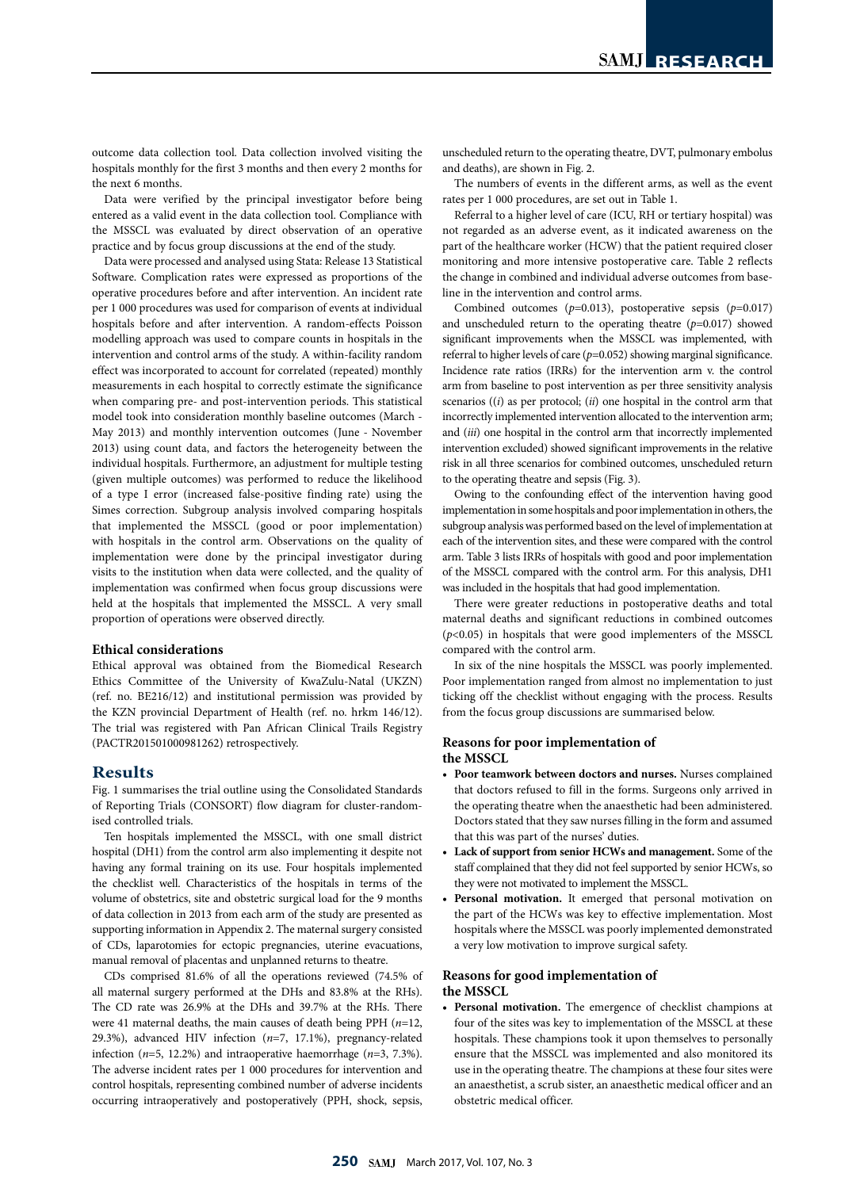outcome data collection tool. Data collection involved visiting the hospitals monthly for the first 3 months and then every 2 months for the next 6 months.

Data were verified by the principal investigator before being entered as a valid event in the data collection tool. Compliance with the MSSCL was evaluated by direct observation of an operative practice and by focus group discussions at the end of the study.

Data were processed and analysed using Stata: Release 13 Statistical Software. Complication rates were expressed as proportions of the operative procedures before and after intervention. An incident rate per 1 000 procedures was used for comparison of events at individual hospitals before and after intervention. A random-effects Poisson modelling approach was used to compare counts in hospitals in the intervention and control arms of the study. A within-facility random effect was incorporated to account for correlated (repeated) monthly measurements in each hospital to correctly estimate the significance when comparing pre- and post-intervention periods. This statistical model took into consideration monthly baseline outcomes (March - May 2013) and monthly intervention outcomes (June - November 2013) using count data, and factors the heterogeneity between the individual hospitals. Furthermore, an adjustment for multiple testing (given multiple outcomes) was performed to reduce the likelihood of a type I error (increased false-positive finding rate) using the Simes correction. Subgroup analysis involved comparing hospitals that implemented the MSSCL (good or poor implementation) with hospitals in the control arm. Observations on the quality of implementation were done by the principal investigator during visits to the institution when data were collected, and the quality of implementation was confirmed when focus group discussions were held at the hospitals that implemented the MSSCL. A very small proportion of operations were observed directly.

#### **Ethical considerations**

Ethical approval was obtained from the Biomedical Research Ethics Committee of the University of KwaZulu-Natal (UKZN) (ref. no. BE216/12) and institutional permission was provided by the KZN provincial Department of Health (ref. no. hrkm 146/12). The trial was registered with Pan African Clinical Trails Registry (PACTR201501000981262) retrospectively.

## **Results**

Fig. 1 summarises the trial outline using the Consolidated Standards of Reporting Trials (CONSORT) flow diagram for cluster-randomised controlled trials.

Ten hospitals implemented the MSSCL, with one small district hospital (DH1) from the control arm also implementing it despite not having any formal training on its use. Four hospitals implemented the checklist well. Characteristics of the hospitals in terms of the volume of obstetrics, site and obstetric surgical load for the 9 months of data collection in 2013 from each arm of the study are presented as supporting information in Appendix 2. The maternal surgery consisted of CDs, laparotomies for ectopic pregnancies, uterine evacuations, manual removal of placentas and unplanned returns to theatre.

CDs comprised 81.6% of all the operations reviewed (74.5% of all maternal surgery performed at the DHs and 83.8% at the RHs). The CD rate was 26.9% at the DHs and 39.7% at the RHs. There were 41 maternal deaths, the main causes of death being PPH (*n*=12, 29.3%), advanced HIV infection (*n*=7, 17.1%), pregnancy-related infection (*n*=5, 12.2%) and intraoperative haemorrhage (*n*=3, 7.3%). The adverse incident rates per 1 000 procedures for intervention and control hospitals, representing combined number of adverse incidents occurring intraoperatively and postoperatively (PPH, shock, sepsis,

unscheduled return to the operating theatre, DVT, pulmonary embolus and deaths), are shown in Fig. 2.

The numbers of events in the different arms, as well as the event rates per 1 000 procedures, are set out in Table 1.

Referral to a higher level of care (ICU, RH or tertiary hospital) was not regarded as an adverse event, as it indicated awareness on the part of the healthcare worker (HCW) that the patient required closer monitoring and more intensive postoperative care. Table 2 reflects the change in combined and individual adverse outcomes from baseline in the intervention and control arms.

Combined outcomes (*p*=0.013), postoperative sepsis (*p*=0.017) and unscheduled return to the operating theatre (*p*=0.017) showed significant improvements when the MSSCL was implemented, with referral to higher levels of care (*p*=0.052) showing marginal significance. Incidence rate ratios (IRRs) for the intervention arm v. the control arm from baseline to post intervention as per three sensitivity analysis scenarios ((*i*) as per protocol; (*ii*) one hospital in the control arm that incorrectly implemented intervention allocated to the intervention arm; and (*iii*) one hospital in the control arm that incorrectly implemented intervention excluded) showed significant improvements in the relative risk in all three scenarios for combined outcomes, unscheduled return to the operating theatre and sepsis (Fig. 3).

Owing to the confounding effect of the intervention having good implementation in some hospitals and poor implementation in others, the subgroup analysis was performed based on the level of implementation at each of the intervention sites, and these were compared with the control arm. Table 3 lists IRRs of hospitals with good and poor implementation of the MSSCL compared with the control arm. For this analysis, DH1 was included in the hospitals that had good implementation.

There were greater reductions in postoperative deaths and total maternal deaths and significant reductions in combined outcomes (*p*<0.05) in hospitals that were good implementers of the MSSCL compared with the control arm.

In six of the nine hospitals the MSSCL was poorly implemented. Poor implementation ranged from almost no implementation to just ticking off the checklist without engaging with the process. Results from the focus group discussions are summarised below.

#### **Reasons for poor implementation of the MSSCL**

- **• Poor teamwork between doctors and nurses.** Nurses complained that doctors refused to fill in the forms. Surgeons only arrived in the operating theatre when the anaesthetic had been administered. Doctors stated that they saw nurses filling in the form and assumed that this was part of the nurses' duties.
- **• Lack of support from senior HCWs and management.** Some of the staff complained that they did not feel supported by senior HCWs, so they were not motivated to implement the MSSCL.
- **• Personal motivation.** It emerged that personal motivation on the part of the HCWs was key to effective implementation. Most hospitals where the MSSCL was poorly implemented demonstrated a very low motivation to improve surgical safety.

## **Reasons for good implementation of the MSSCL**

**• Personal motivation.** The emergence of checklist champions at four of the sites was key to implementation of the MSSCL at these hospitals. These champions took it upon themselves to personally ensure that the MSSCL was implemented and also monitored its use in the operating theatre. The champions at these four sites were an anaesthetist, a scrub sister, an anaesthetic medical officer and an obstetric medical officer.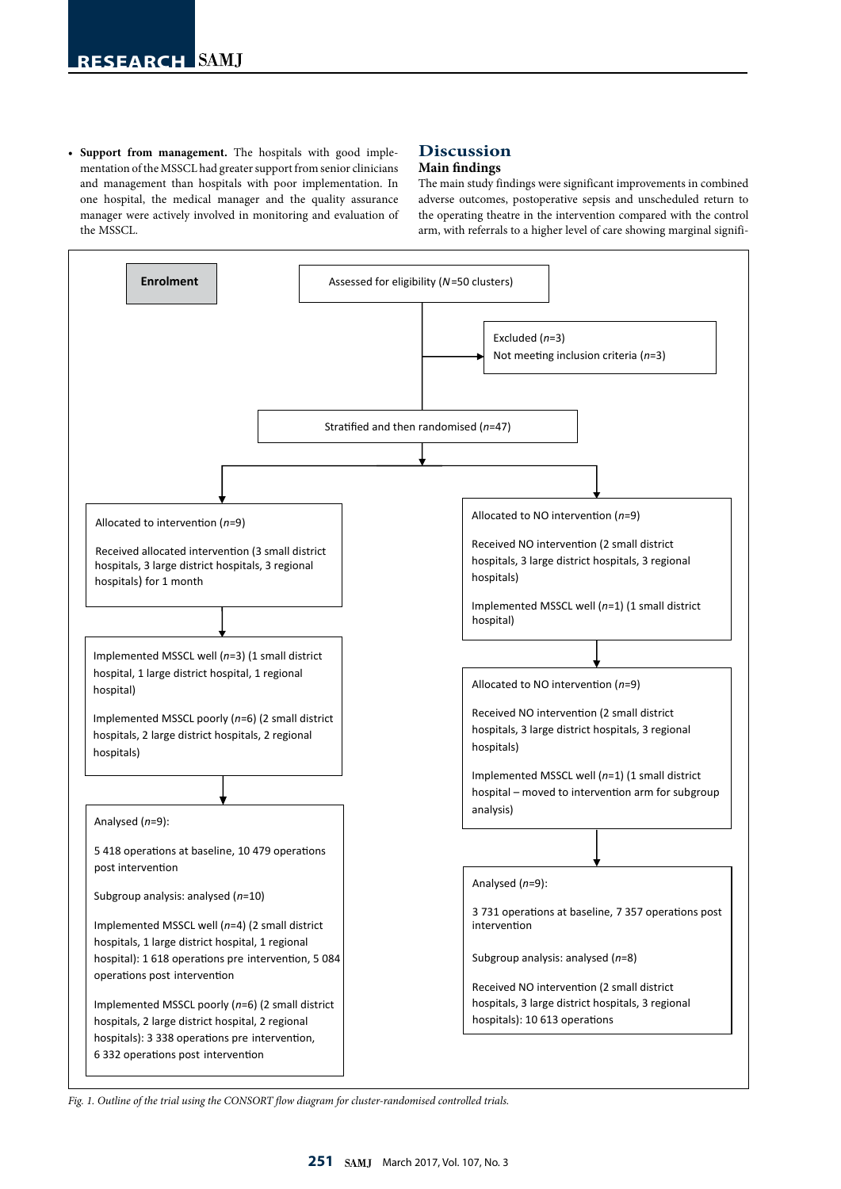**• Support from management.** The hospitals with good implementation of the MSSCL had greater support from senior clinicians and management than hospitals with poor implementation. In one hospital, the medical manager and the quality assurance manager were actively involved in monitoring and evaluation of the MSSCL.

## **Discussion**

## **Main findings**

The main study findings were significant improvements in combined adverse outcomes, postoperative sepsis and unscheduled return to the operating theatre in the intervention compared with the control arm, with referrals to a higher level of care showing marginal signifi-



*Fig. 1. Outline of the trial using the CONSORT flow diagram for cluster-randomised controlled trials.*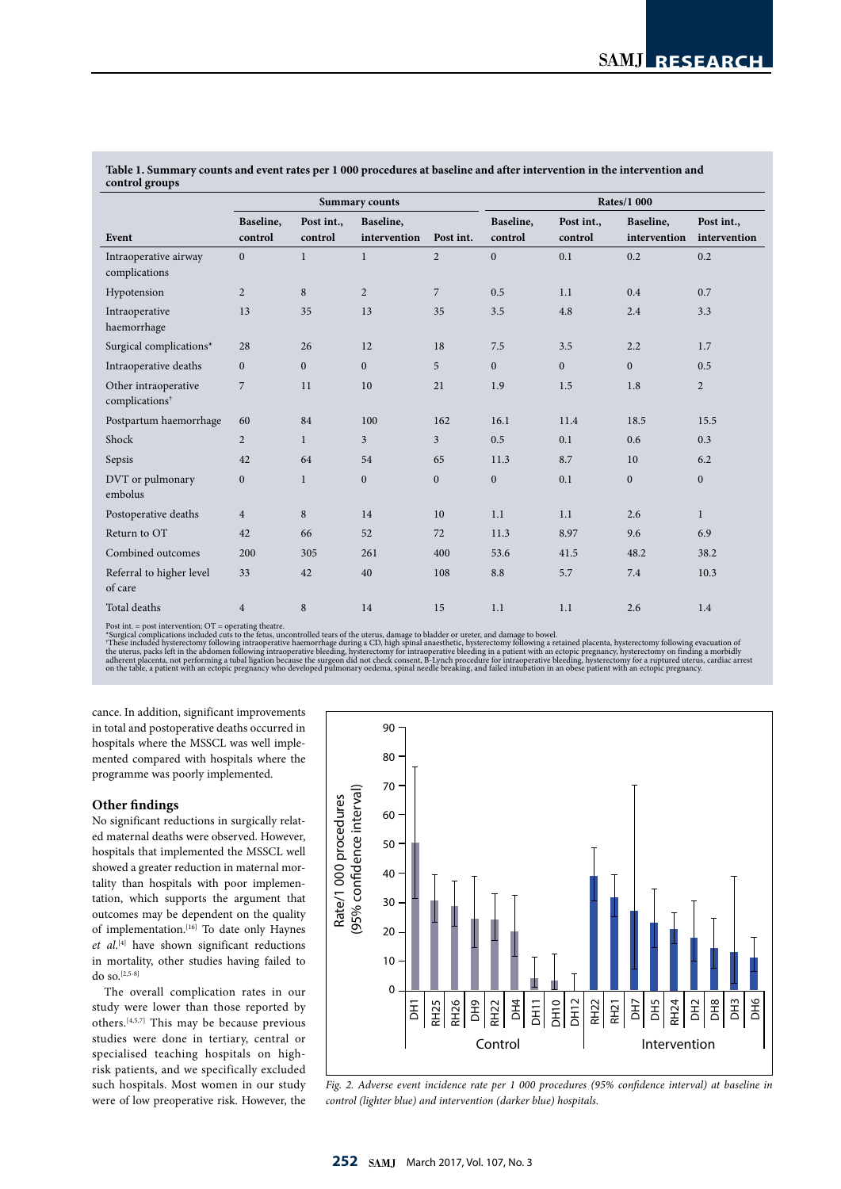| control groups                                     |                       |                |                  |                  |                    |              |              |                |  |
|----------------------------------------------------|-----------------------|----------------|------------------|------------------|--------------------|--------------|--------------|----------------|--|
|                                                    | <b>Summary counts</b> |                |                  |                  | <b>Rates/1 000</b> |              |              |                |  |
|                                                    | Baseline,             | Post int.,     | Baseline,        |                  | Baseline,          | Post int.,   | Baseline,    | Post int.,     |  |
| Event                                              | control               | control        | intervention     | Post int.        | control            | control      | intervention | intervention   |  |
| Intraoperative airway<br>complications             | $\overline{0}$        | $\mathbf{1}$   | $\mathbf{1}$     | $\overline{2}$   | $\overline{0}$     | 0.1          | 0.2          | 0.2            |  |
| Hypotension                                        | $\overline{2}$        | $\,8\,$        | $\overline{c}$   | $\overline{7}$   | 0.5                | 1.1          | 0.4          | 0.7            |  |
| Intraoperative<br>haemorrhage                      | 13                    | 35             | 13               | 35               | 3.5                | 4.8          | 2.4          | 3.3            |  |
| Surgical complications*                            | 28                    | 26             | 12               | 18               | 7.5                | 3.5          | 2.2          | 1.7            |  |
| Intraoperative deaths                              | $\mathbf{0}$          | $\overline{0}$ | $\mathbf{0}$     | 5                | $\overline{0}$     | $\mathbf{0}$ | $\mathbf{0}$ | 0.5            |  |
| Other intraoperative<br>complications <sup>†</sup> | $\overline{7}$        | 11             | 10               | 21               | 1.9                | 1.5          | 1.8          | $\overline{2}$ |  |
| Postpartum haemorrhage                             | 60                    | 84             | 100              | 162              | 16.1               | 11.4         | 18.5         | 15.5           |  |
| Shock                                              | $\overline{2}$        | $\mathbf{1}$   | 3                | 3                | 0.5                | 0.1          | 0.6          | 0.3            |  |
| Sepsis                                             | 42                    | 64             | 54               | 65               | 11.3               | 8.7          | 10           | 6.2            |  |
| DVT or pulmonary<br>embolus                        | $\mathbf{0}$          | $\mathbf{1}$   | $\boldsymbol{0}$ | $\boldsymbol{0}$ | $\overline{0}$     | 0.1          | $\mathbf{0}$ | $\mathbf{0}$   |  |
| Postoperative deaths                               | $\overline{4}$        | 8              | 14               | 10               | 1.1                | 1.1          | 2.6          | $\mathbf{1}$   |  |
| Return to OT                                       | 42                    | 66             | 52               | 72               | 11.3               | 8.97         | 9.6          | 6.9            |  |
| Combined outcomes                                  | 200                   | 305            | 261              | 400              | 53.6               | 41.5         | 48.2         | 38.2           |  |
| Referral to higher level<br>of care                | 33                    | 42             | 40               | 108              | 8.8                | 5.7          | 7.4          | 10.3           |  |
| Total deaths                                       | $\overline{4}$        | $\,$ 8 $\,$    | 14               | 15               | 1.1                | 1.1          | 2.6          | 1.4            |  |

**Table 1. Summary counts and event rates per 1 000 procedures at baseline and after intervention in the intervention and control groups**

Post int. = post intervention; OT = operating theatre.<br>"Surgical complications included cuts to the fetus, uncontrolled tears of the uterus, damage to bladder or ureter, and damage to bowel.<br>"Surgical complications include

cance. In addition, significant improvements in total and postoperative deaths occurred in hospitals where the MSSCL was well implemented compared with hospitals where the programme was poorly implemented.

## **Other findings**

No significant reductions in surgically related maternal deaths were observed. However, hospitals that implemented the MSSCL well showed a greater reduction in maternal mortality than hospitals with poor implementation, which supports the argument that outcomes may be dependent on the quality of implementation.<sup>[16]</sup> To date only Haynes *et al*. [4] have shown significant reductions in mortality, other studies having failed to do so.[2,5-8]

The overall complication rates in our study were lower than those reported by others.[4,5,7] This may be because previous studies were done in tertiary, central or specialised teaching hospitals on highrisk patients, and we specifically excluded such hospitals. Most women in our study were of low preoperative risk. However, the



*Fig. 2. Adverse event incidence rate per 1 000 procedures (95% confidence interval) at baseline in control (lighter blue) and intervention (darker blue) hospitals.*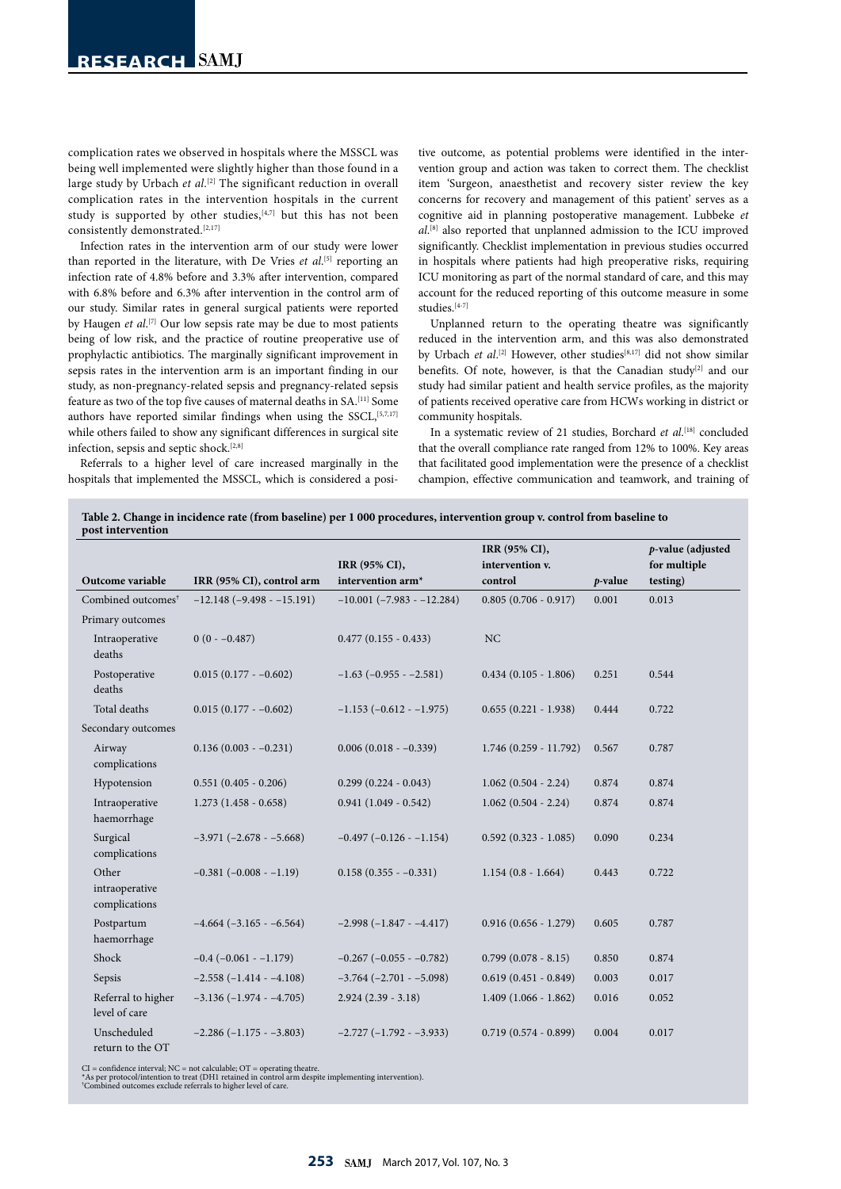complication rates we observed in hospitals where the MSSCL was being well implemented were slightly higher than those found in a large study by Urbach *et al*.<sup>[2]</sup> The significant reduction in overall complication rates in the intervention hospitals in the current study is supported by other studies, [4,7] but this has not been consistently demonstrated.<sup>[2,17]</sup>

Infection rates in the intervention arm of our study were lower than reported in the literature, with De Vries *et al*.<sup>[5]</sup> reporting an infection rate of 4.8% before and 3.3% after intervention, compared with 6.8% before and 6.3% after intervention in the control arm of our study. Similar rates in general surgical patients were reported by Haugen *et al*. [7] Our low sepsis rate may be due to most patients being of low risk, and the practice of routine preoperative use of prophylactic antibiotics. The marginally significant improvement in sepsis rates in the intervention arm is an important finding in our study, as non-pregnancy-related sepsis and pregnancy-related sepsis feature as two of the top five causes of maternal deaths in  $\mathsf{SA}^{[\mathrm{11}]}$  Some authors have reported similar findings when using the SSCL, [5,7,17] while others failed to show any significant differences in surgical site infection, sepsis and septic shock.<sup>[2,8]</sup>

Referrals to a higher level of care increased marginally in the hospitals that implemented the MSSCL, which is considered a positive outcome, as potential problems were identified in the intervention group and action was taken to correct them. The checklist item 'Surgeon, anaesthetist and recovery sister review the key concerns for recovery and management of this patient' serves as a cognitive aid in planning postoperative management. Lubbeke *et al*. [8] also reported that unplanned admission to the ICU improved significantly. Checklist implementation in previous studies occurred in hospitals where patients had high preoperative risks, requiring ICU monitoring as part of the normal standard of care, and this may account for the reduced reporting of this outcome measure in some studies.[4-7]

Unplanned return to the operating theatre was significantly reduced in the intervention arm, and this was also demonstrated by Urbach *et al.*<sup>[2]</sup> However, other studies<sup>[8,17]</sup> did not show similar benefits. Of note, however, is that the Canadian study<sup>[2]</sup> and our study had similar patient and health service profiles, as the majority of patients received operative care from HCWs working in district or community hospitals.

In a systematic review of 21 studies, Borchard *et al*. [18] concluded that the overall compliance rate ranged from 12% to 100%. Key areas that facilitated good implementation were the presence of a checklist champion, effective communication and teamwork, and training of

**Table 2. Change in incidence rate (from baseline) per 1 000 procedures, intervention group v. control from baseline to post intervention**

|                                          |                                  |                                    | IRR (95% CI),           |            | p-value (adjusted |  |
|------------------------------------------|----------------------------------|------------------------------------|-------------------------|------------|-------------------|--|
|                                          |                                  | IRR (95% CI),                      | intervention v.         |            | for multiple      |  |
| Outcome variable                         | IRR (95% CI), control arm        | intervention arm*                  | control                 | $p$ -value | testing)          |  |
| Combined outcomes <sup>†</sup>           | $-12.148$ ( $-9.498 - 15.191$ )  | $-10.001$ ( $-7.983$ - $-12.284$ ) | $0.805(0.706 - 0.917)$  | 0.001      | 0.013             |  |
| Primary outcomes                         |                                  |                                    |                         |            |                   |  |
| Intraoperative<br>deaths                 | $0(0 - -0.487)$                  | $0.477(0.155 - 0.433)$             | NC                      |            |                   |  |
| Postoperative<br>deaths                  | $0.015(0.177 - -0.602)$          | $-1.63$ ( $-0.955 - 2.581$ )       | $0.434(0.105 - 1.806)$  | 0.251      | 0.544             |  |
| Total deaths                             | $0.015(0.177 - -0.602)$          | $-1.153$ ( $-0.612 - 1.975$ )      | $0.655(0.221 - 1.938)$  | 0.444      | 0.722             |  |
| Secondary outcomes                       |                                  |                                    |                         |            |                   |  |
| Airway<br>complications                  | $0.136(0.003 - 0.231)$           | $0.006(0.018 - -0.339)$            | $1.746(0.259 - 11.792)$ | 0.567      | 0.787             |  |
| Hypotension                              | $0.551(0.405 - 0.206)$           | $0.299(0.224 - 0.043)$             | $1.062(0.504 - 2.24)$   | 0.874      | 0.874             |  |
| Intraoperative<br>haemorrhage            | $1.273(1.458 - 0.658)$           | $0.941(1.049 - 0.542)$             | $1.062(0.504 - 2.24)$   | 0.874      | 0.874             |  |
| Surgical<br>complications                | $-3.971 (-2.678 - -5.668)$       | $-0.497$ ( $-0.126 - 1.154$ )      | $0.592(0.323 - 1.085)$  | 0.090      | 0.234             |  |
| Other<br>intraoperative<br>complications | $-0.381(-0.008 - 1.19)$          | $0.158(0.355 - 0.331)$             | $1.154(0.8 - 1.664)$    | 0.443      | 0.722             |  |
| Postpartum<br>haemorrhage                | $-4.664$ $(-3.165 - 6.564)$      | $-2.998(-1.847 - -4.417)$          | $0.916(0.656 - 1.279)$  | 0.605      | 0.787             |  |
| Shock                                    | $-0.4$ ( $-0.061$ - $-1.179$ )   | $-0.267$ ( $-0.055$ - $-0.782$ )   | $0.799(0.078 - 8.15)$   | 0.850      | 0.874             |  |
| Sepsis                                   | $-2.558(-1.414 - -4.108)$        | $-3.764$ ( $-2.701 - -5.098$ )     | $0.619(0.451 - 0.849)$  | 0.003      | 0.017             |  |
| Referral to higher<br>level of care      | $-3.136(-1.974 - -4.705)$        | $2.924(2.39 - 3.18)$               | $1.409(1.066 - 1.862)$  | 0.016      | 0.052             |  |
| Unscheduled<br>return to the OT          | $-2.286$ ( $-1.175$ - $-3.803$ ) | $-2.727(-1.792 - -3.933)$          | $0.719(0.574 - 0.899)$  | 0.004      | 0.017             |  |

CI = confidence interval; NC = not calculable; OT = operating theatre.<br>\*As per protocol/intention to treat (DH1 retained in control arm despite implementing intervention).<br>"Combined outcomes exclude referrals to higher lev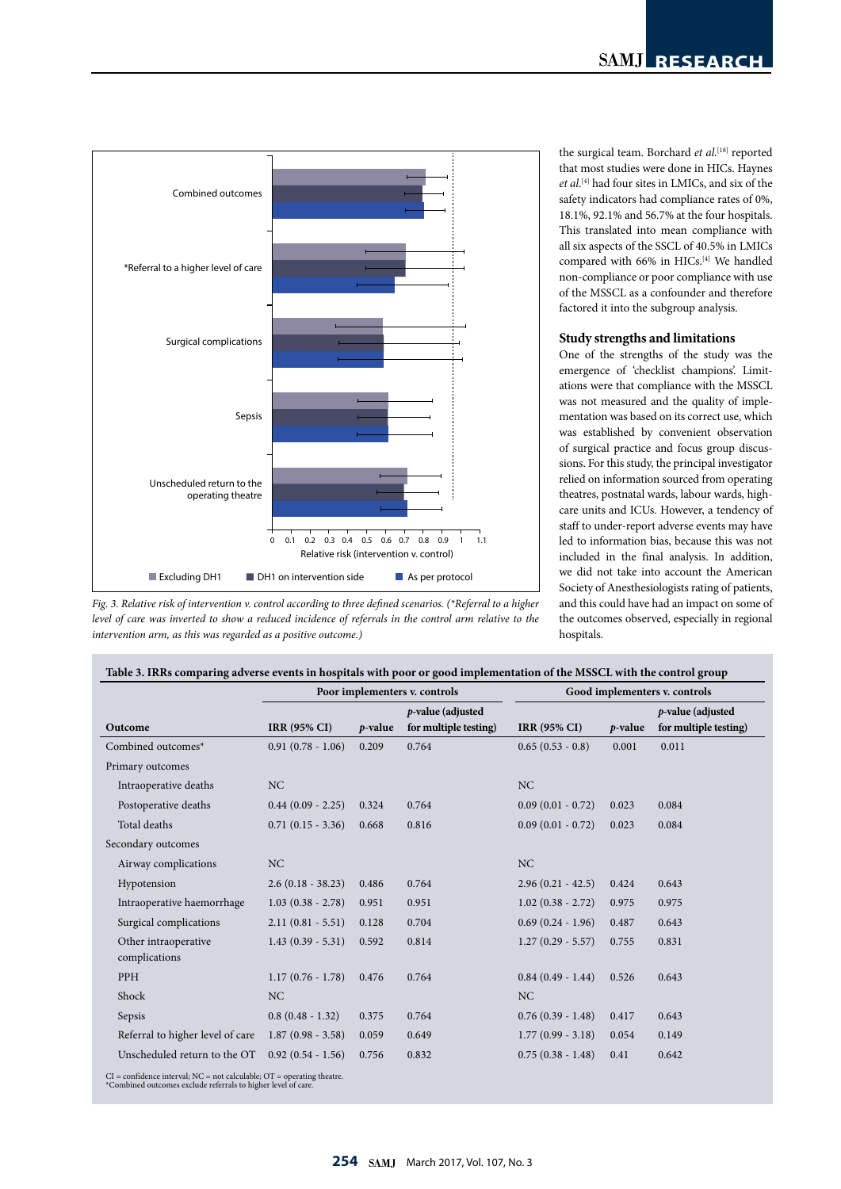

*Fig. 3. Relative risk of intervention v. control according to three defined scenarios. (\*Referral to a higher level of care was inverted to show a reduced incidence of referrals in the control arm relative to the intervention arm, as this was regarded as a positive outcome.)*

the surgical team. Borchard *et al*. [18] reported that most studies were done in HICs. Haynes *et al*. [4] had four sites in LMICs, and six of the safety indicators had compliance rates of 0%, 18.1%, 92.1% and 56.7% at the four hospitals. This translated into mean compliance with all six aspects of the SSCL of 40.5% in LMICs compared with 66% in HICs.<sup>[4]</sup> We handled non-compliance or poor compliance with use of the MSSCL as a confounder and therefore factored it into the subgroup analysis.

## **Study strengths and limitations**

One of the strengths of the study was the emergence of 'checklist champions'. Limitations were that compliance with the MSSCL was not measured and the quality of implementation was based on its correct use, which was established by convenient observation of surgical practice and focus group discussions. For this study, the principal investigator relied on information sourced from operating theatres, postnatal wards, labour wards, highcare units and ICUs. However, a tendency of staff to under-report adverse events may have led to information bias, because this was not included in the final analysis. In addition, we did not take into account the American Society of Anesthesiologists rating of patients, and this could have had an impact on some of the outcomes observed, especially in regional hospitals.

|                                       |                     |            | Poor implementers v. controls                 | Good implementers v. controls |            |                                            |  |
|---------------------------------------|---------------------|------------|-----------------------------------------------|-------------------------------|------------|--------------------------------------------|--|
| Outcome                               | <b>IRR (95% CI)</b> | $p$ -value | $p$ -value (adjusted<br>for multiple testing) | <b>IRR (95% CI)</b>           | $p$ -value | p-value (adjusted<br>for multiple testing) |  |
| Combined outcomes*                    | $0.91(0.78 - 1.06)$ | 0.209      | 0.764                                         | $0.65(0.53 - 0.8)$            | 0.001      | 0.011                                      |  |
| Primary outcomes                      |                     |            |                                               |                               |            |                                            |  |
| Intraoperative deaths                 | NC                  |            |                                               | NC                            |            |                                            |  |
| Postoperative deaths                  | $0.44(0.09 - 2.25)$ | 0.324      | 0.764                                         | $0.09(0.01 - 0.72)$           | 0.023      | 0.084                                      |  |
| Total deaths                          | $0.71(0.15 - 3.36)$ | 0.668      | 0.816                                         | $0.09(0.01 - 0.72)$           | 0.023      | 0.084                                      |  |
| Secondary outcomes                    |                     |            |                                               |                               |            |                                            |  |
| Airway complications                  | NC                  |            |                                               | NC                            |            |                                            |  |
| Hypotension                           | $2.6(0.18 - 38.23)$ | 0.486      | 0.764                                         | $2.96(0.21 - 42.5)$           | 0.424      | 0.643                                      |  |
| Intraoperative haemorrhage            | $1.03(0.38 - 2.78)$ | 0.951      | 0.951                                         | $1.02(0.38 - 2.72)$           | 0.975      | 0.975                                      |  |
| Surgical complications                | $2.11(0.81 - 5.51)$ | 0.128      | 0.704                                         | $0.69(0.24 - 1.96)$           | 0.487      | 0.643                                      |  |
| Other intraoperative<br>complications | $1.43(0.39 - 5.31)$ | 0.592      | 0.814                                         | $1.27(0.29 - 5.57)$           | 0.755      | 0.831                                      |  |
| PPH                                   | $1.17(0.76 - 1.78)$ | 0.476      | 0.764                                         | $0.84(0.49 - 1.44)$           | 0.526      | 0.643                                      |  |
| Shock                                 | NC                  |            |                                               | <b>NC</b>                     |            |                                            |  |
| Sepsis                                | $0.8(0.48 - 1.32)$  | 0.375      | 0.764                                         | $0.76(0.39 - 1.48)$           | 0.417      | 0.643                                      |  |
| Referral to higher level of care      | $1.87(0.98 - 3.58)$ | 0.059      | 0.649                                         | $1.77(0.99 - 3.18)$           | 0.054      | 0.149                                      |  |
| Unscheduled return to the OT          | $0.92(0.54 - 1.56)$ | 0.756      | 0.832                                         | $0.75(0.38 - 1.48)$           | 0.41       | 0.642                                      |  |

CI = confidence interval; NC = not calculable; OT = operating theatre. \*Combined outcomes exclude referrals to higher level of care.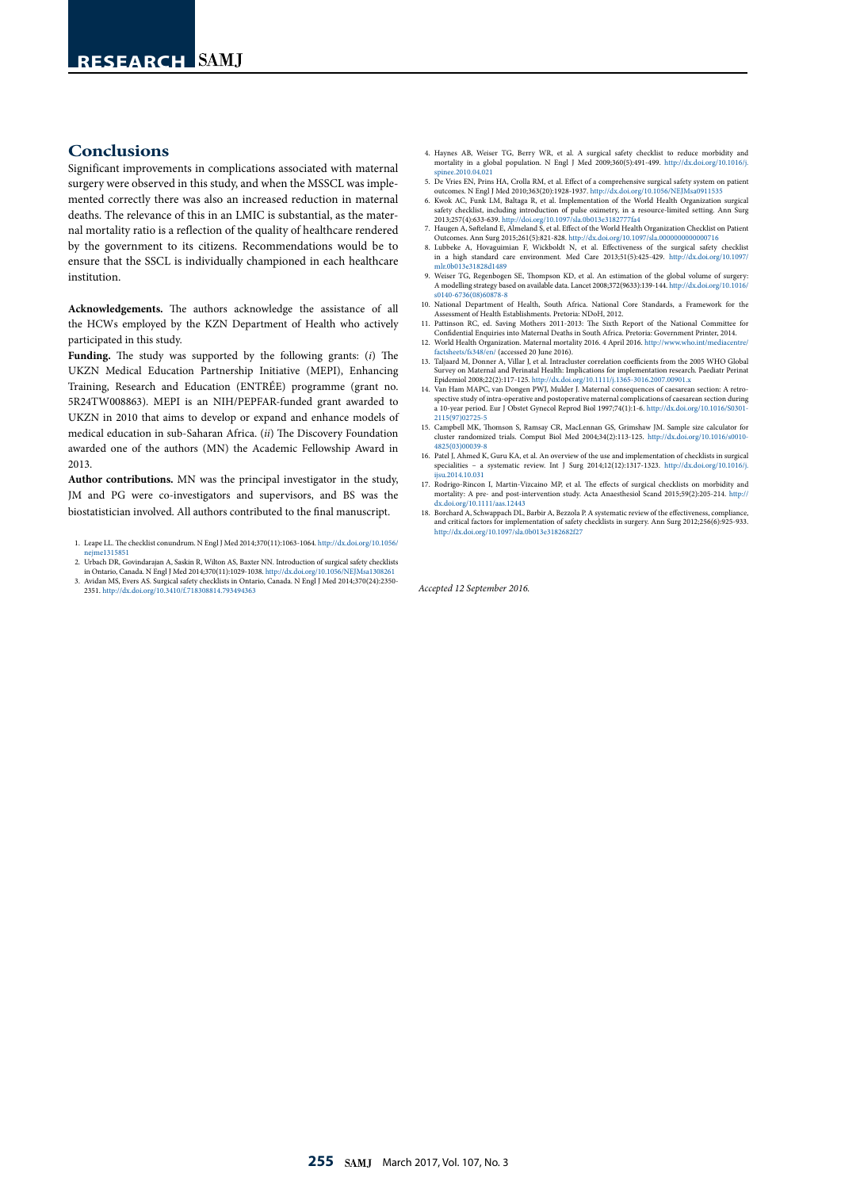## **Conclusions**

Significant improvements in complications associated with maternal surgery were observed in this study, and when the MSSCL was implemented correctly there was also an increased reduction in maternal deaths. The relevance of this in an LMIC is substantial, as the maternal mortality ratio is a reflection of the quality of healthcare rendered by the government to its citizens. Recommendations would be to ensure that the SSCL is individually championed in each healthcare institution.

**Acknowledgements.** The authors acknowledge the assistance of all the HCWs employed by the KZN Department of Health who actively participated in this study.

**Funding.** The study was supported by the following grants: (*i*) The UKZN Medical Education Partnership Initiative (MEPI), Enhancing Training, Research and Education (ENTRÉE) programme (grant no. 5R24TW008863). MEPI is an NIH/PEPFAR-funded grant awarded to UKZN in 2010 that aims to develop or expand and enhance models of medical education in sub-Saharan Africa. (*ii*) The Discovery Foundation awarded one of the authors (MN) the Academic Fellowship Award in 2013.

**Author contributions.** MN was the principal investigator in the study, JM and PG were co-investigators and supervisors, and BS was the biostatistician involved. All authors contributed to the final manuscript.

- 1. Leape LL. The checklist conundrum. N Engl J Med 2014;370(11):1063-1064. [http://dx.doi.org/10.1056/](http://dx.doi.org/10.1056/nejme1315851 ) ne1315851
- 2. Urbach DR, Govindarajan A, Saskin R, Wilton AS, Baxter NN. Introduction of surgical safety checklists in Ontario, Canada. N Engl J Med 2014;370(11):1029-1038. http://dx.doi.org/10.
- 3. Avidan MS, Evers AS. Surgical safety checklists in Ontario, Canada. N Engl J Med 2014;370(24):2350- 2351. http://dx.doi.org/10.3410/f.718308814.793494363
- 4. Haynes AB, Weiser TG, Berry WR, et al. A surgical safety checklist to reduce morbidity and mortality in a global population. N Engl J Med 2009;360(5):491-499. [http://dx.doi.org/10.1016/j.](http://dx.doi.org/10.1016/j.spinee.2010.04.021 ) [spinee.2010.04.021](http://dx.doi.org/10.1016/j.spinee.2010.04.021 )
- 5. De Vries EN, Prins HA, Crolla RM, et al. Effect of a comprehensive surgical safety system on patient outcomes. N Engl J Med 2010;363(20):1928-1937. http://dx.doi.org/10.1056/NEJMsa0911535
- 6. Kwok AC, Funk LM, Baltaga R, et al. Implementation of the World Health Organization surgical safety checklist, including introduction of pulse oximetry, in a resource-limited setting. Ann Surg 2013;257(4):633-639. http://doi.org/10.1097/sla.0b013e3182777fa4
- 7. Haugen A, Søfteland E, Almeland S, et al. Effect of the World Health Organization Checklist on Patient Outcomes. Ann Surg 2015;261(5):821-828. http://dx.doi.org/10.1097/sla.0000000000000716 8. Lubbeke A, Hovaguimian F, Wickboldt N, et al. Effectiveness of the surgical safety checklist
- in a high standard care environment. Med Care 2013;51(5):425-429. [http://dx.doi.org/10.1097/](http://dx.doi.org/10.1097/mlr.0b013e31828d1489 ) [mlr.0b013e31828d1489](http://dx.doi.org/10.1097/mlr.0b013e31828d1489 )
- 9. Weiser TG, Regenbogen SE, Thompson KD, et al. An estimation of the global volume of surgery: A modelling strategy based on available data. Lancet 2008;372(9633):139-144. [http://dx.doi.org/10.1016/]( http://dx.doi.org/10.1016/s0140-6736(08)60878-8 ) [s0140-6736\(08\)60878-8]( http://dx.doi.org/10.1016/s0140-6736(08)60878-8 )
- 10. National Department of Health, South Africa. National Core Standards, a Framework for the Assessment of Health Establishments. Pretoria: NDoH, 2012.
- 11. Pattinson RC, ed. Saving Mothers 2011-2013: The Sixth Report of the National Committee for Confidential Enquiries into Maternal Deaths in South Africa. Pretoria: Government Printer, 2014.
- 12. World Health Organization. Maternal mortality 2016. 4 April 2016. [http://www.who.int/mediacentre/](http://www.who.int/mediacentre/factsheets/fs348/en/ )<br>[factsheets/fs348/en/ \(](http://www.who.int/mediacentre/factsheets/fs348/en/ )accessed 20 June 2016).<br>13. Taljaard M, Donner A, Villar J, et al. Intracluster correlation coeffi
- Survey on Maternal and Perinatal Health: Implications for implementation research. Paediatr Perinat<br>Epidemiol 2008;22(2):117-125. http://dx.doi.org/10.1111/j.1365-3016.2007.00901.x<br>14. Van Ham MAPC, van Dongen PWJ, Mulder
- spective study of intra-operative and postoperative maternal complications of caesarean section during a 10-year period. Eur J Obstet Gynecol Reprod Biol 1997;74(1):1-6. [http://dx.doi.org/10.1016/S0301-](http://dx.doi.org/10.1016/S0301-2115(97)02725-5 )
- [2115\(97\)02725-5](http://dx.doi.org/10.1016/S0301-2115(97)02725-5 ) 15. Campbell MK, Thomson S, Ramsay CR, MacLennan GS, Grimshaw JM. Sample size calculator for cluster randomized trials. Comput Biol Med 2004;34(2):113-125. [http://dx.doi.org/10.1016/s0010-](http://dx.doi.org/10.1016/s0010-4825(03)00039-8 ) [4825\(03\)00039-8](http://dx.doi.org/10.1016/s0010-4825(03)00039-8 )
- 16. Patel J, Ahmed K, Guru KA, et al. An overview of the use and implementation of checklists in surgical specialities – a systematic review. Int J Surg 2014;12(12):1317-1323. [http://dx.doi.org/10.1016/j.](http://dx.doi.org/10.1016/j.ijsu.2014.10.031 )  $1,2014.10.031$
- 17. Rodrigo-Rincon I, Martin-Vizcaino MP, et al. The effects of surgical checklists on morbidity and mortality: A pre- and post-intervention study. Acta Anaesthesiol Scand 2015;59(2):205-214. http:// dx.doi.org/10.1111/aas.12443
- 18. Borchard A, Schwappach DL, Barbir A, Bezzola P. A systematic review of the effectiveness, comp and critical factors for implementation of safety checklists in surgery. Ann Surg 2012;256(6):925-933. http://dx.doi.org/10.1097/sla.0b013e3182682f27

*Accepted 12 September 2016.*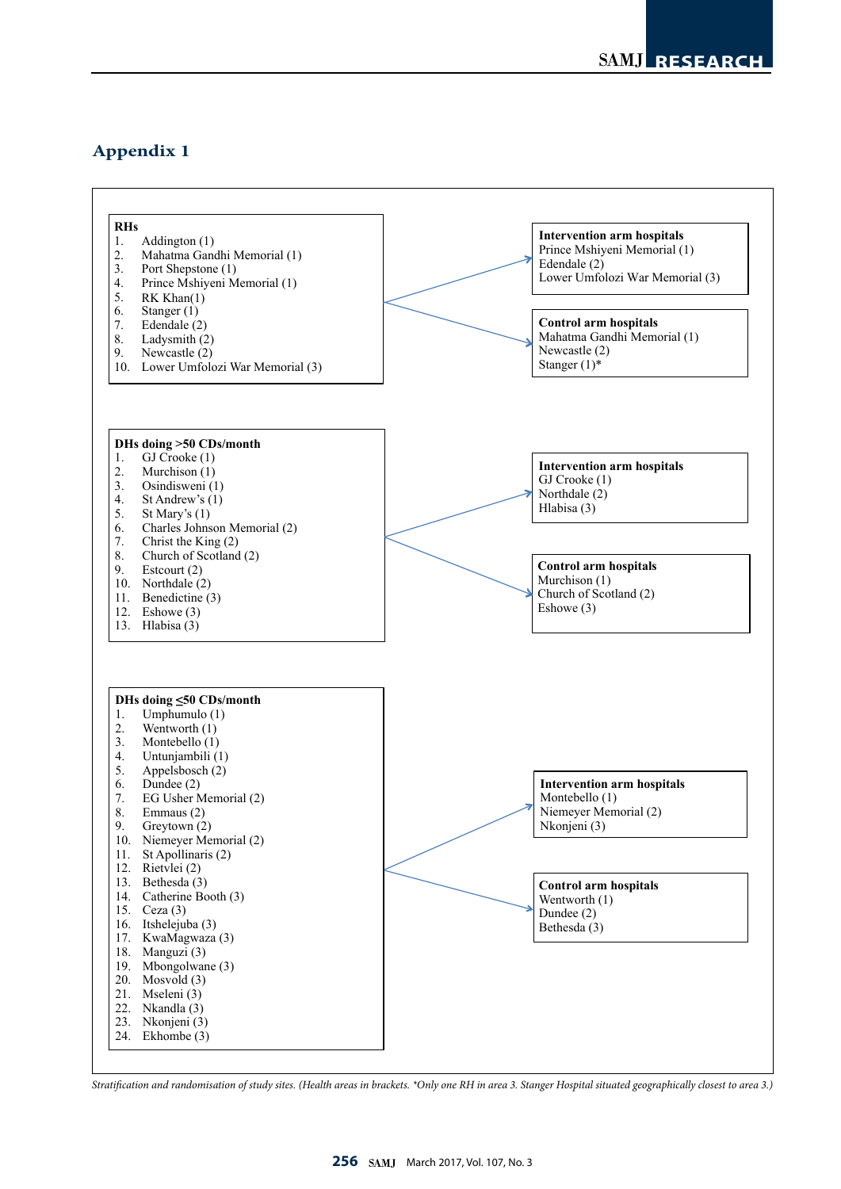## **Appendix 1**



*Stratification and randomisation of study sites. (Health areas in brackets. \*Only one RH in area 3. Stanger Hospital situated geographically closest to area 3.)*